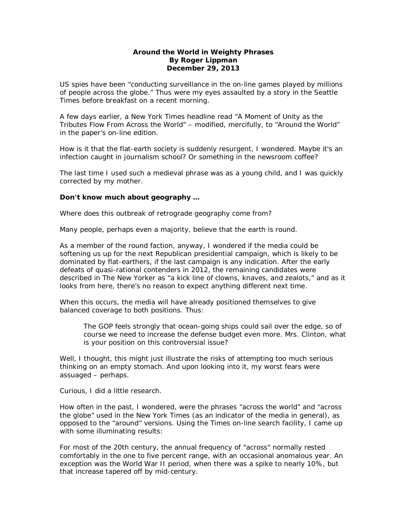## **Around the World in Weighty Phrases By Roger Lippman December 29, 2013**

US spies have been "conducting surveillance in the on-line games played by millions of people across the globe." Thus were my eyes assaulted by a story in the *Seattle Times* before breakfast on a recent morning.

A few days earlier, a *New York Times* headline read "A Moment of Unity as the Tributes Flow From Across the World" – modified, mercifully, to "Around the World" in the paper's on-line edition.

How is it that the flat-earth society is suddenly resurgent, I wondered. Maybe it's an infection caught in journalism school? Or something in the newsroom coffee?

The last time I used such a medieval phrase was as a young child, and I was quickly corrected by my mother.

## **Don't know much about geography …**

Where does this outbreak of retrograde geography come from?

Many people, perhaps even a majority, believe that the earth is round.

As a member of the round faction, anyway, I wondered if the media could be softening us up for the next Republican presidential campaign, which is likely to be dominated by flat-earthers, if the last campaign is any indication. After the early defeats of quasi-rational contenders in 2012, the remaining candidates were described in *The New Yorker* as "a kick line of clowns, knaves, and zealots," and as it looks from here, there's no reason to expect anything different next time.

When this occurs, the media will have already positioned themselves to give balanced coverage to both positions. Thus:

The GOP feels strongly that ocean-going ships could sail over the edge, so of course we need to increase the defense budget even more. Mrs. Clinton, what is your position on this controversial issue?

Well, I thought, this might just illustrate the risks of attempting too much serious thinking on an empty stomach. And upon looking into it, my worst fears were assuaged – perhaps.

Curious, I did a little research.

How often in the past, I wondered, were the phrases "across the world" and "across the globe" used in the *New York Times* (as an indicator of the media in general), as opposed to the "around" versions. Using the *Times* on-line search facility, I came up with some illuminating results:

For most of the 20th century, the annual frequency of "across" normally rested comfortably in the one to five percent range, with an occasional anomalous year. An exception was the World War II period, when there was a spike to nearly 10%, but that increase tapered off by mid-century.